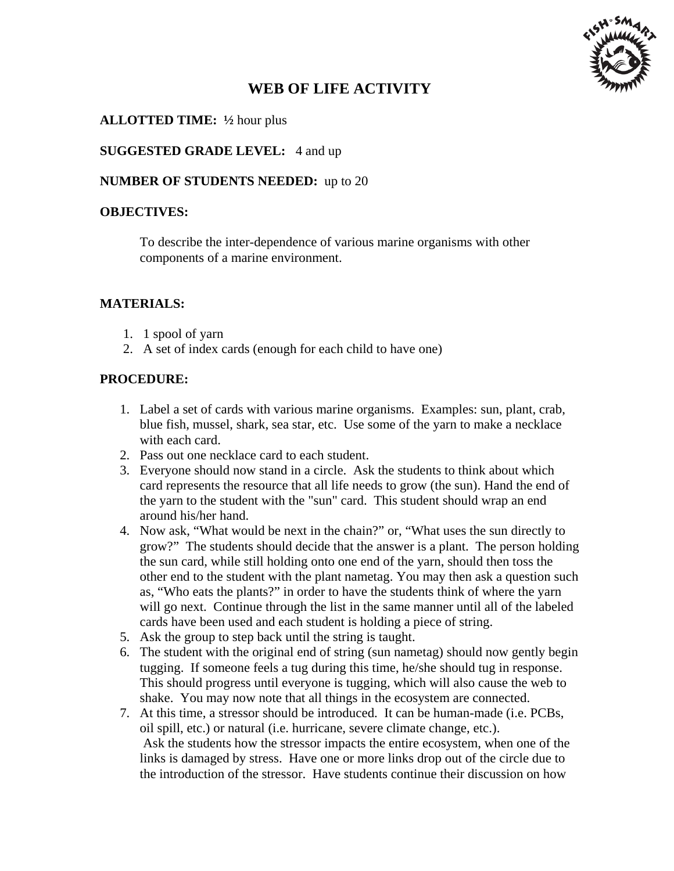

# **WEB OF LIFE ACTIVITY**

### **ALLOTTED TIME: ½** hour plus

**SUGGESTED GRADE LEVEL:** 4 and up

#### **NUMBER OF STUDENTS NEEDED:** up to 20

#### **OBJECTIVES:**

To describe the inter-dependence of various marine organisms with other components of a marine environment.

#### **MATERIALS:**

- 1. 1 spool of yarn
- 2. A set of index cards (enough for each child to have one)

#### **PROCEDURE:**

- 1. Label a set of cards with various marine organisms. Examples: sun, plant, crab, blue fish, mussel, shark, sea star, etc. Use some of the yarn to make a necklace with each card.
- 2. Pass out one necklace card to each student.
- 3. Everyone should now stand in a circle. Ask the students to think about which card represents the resource that all life needs to grow (the sun). Hand the end of the yarn to the student with the "sun" card. This student should wrap an end around his/her hand.
- 4. Now ask, "What would be next in the chain?" or, "What uses the sun directly to grow?" The students should decide that the answer is a plant. The person holding the sun card, while still holding onto one end of the yarn, should then toss the other end to the student with the plant nametag. You may then ask a question such as, "Who eats the plants?" in order to have the students think of where the yarn will go next. Continue through the list in the same manner until all of the labeled cards have been used and each student is holding a piece of string.
- 5. Ask the group to step back until the string is taught.
- 6. The student with the original end of string (sun nametag) should now gently begin tugging. If someone feels a tug during this time, he/she should tug in response. This should progress until everyone is tugging, which will also cause the web to shake. You may now note that all things in the ecosystem are connected.
- 7. At this time, a stressor should be introduced. It can be human-made (i.e. PCBs, oil spill, etc.) or natural (i.e. hurricane, severe climate change, etc.). Ask the students how the stressor impacts the entire ecosystem, when one of the links is damaged by stress. Have one or more links drop out of the circle due to the introduction of the stressor. Have students continue their discussion on how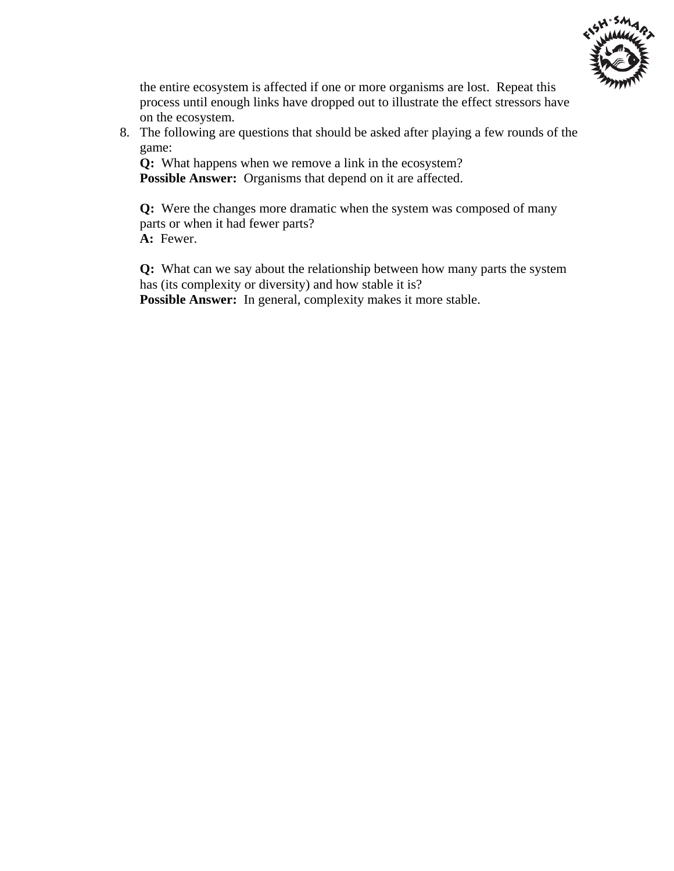

the entire ecosystem is affected if one or more organisms are lost. Repeat this process until enough links have dropped out to illustrate the effect stressors have on the ecosystem.

8. The following are questions that should be asked after playing a few rounds of the game:

**Q:** What happens when we remove a link in the ecosystem? **Possible Answer:** Organisms that depend on it are affected.

**Q:** Were the changes more dramatic when the system was composed of many parts or when it had fewer parts? **A:** Fewer.

**Q:** What can we say about the relationship between how many parts the system has (its complexity or diversity) and how stable it is? **Possible Answer:** In general, complexity makes it more stable.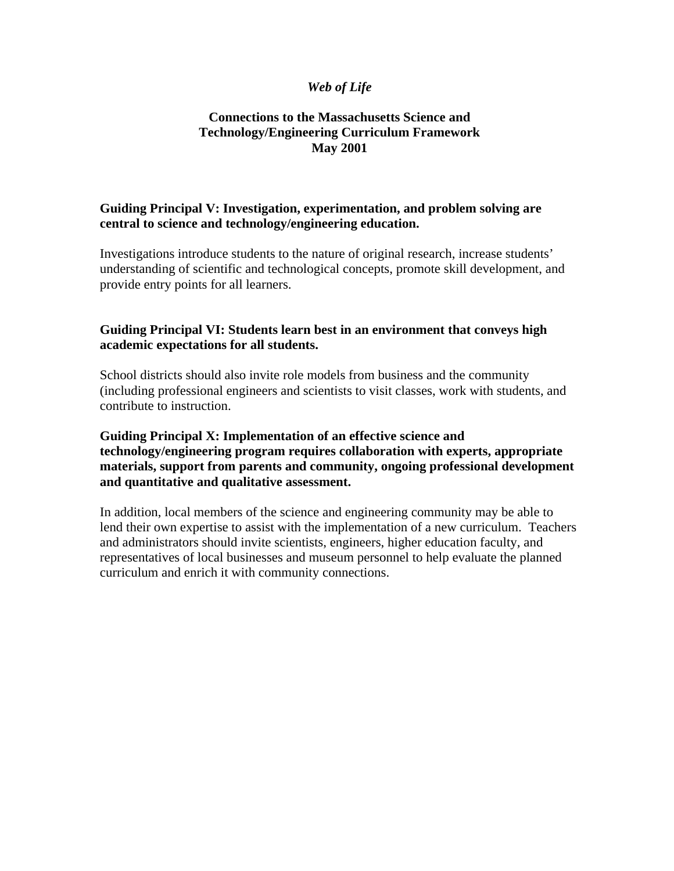#### *Web of Life*

#### **Connections to the Massachusetts Science and Technology/Engineering Curriculum Framework May 2001**

#### **Guiding Principal V: Investigation, experimentation, and problem solving are central to science and technology/engineering education.**

Investigations introduce students to the nature of original research, increase students' understanding of scientific and technological concepts, promote skill development, and provide entry points for all learners.

#### **Guiding Principal VI: Students learn best in an environment that conveys high academic expectations for all students.**

School districts should also invite role models from business and the community (including professional engineers and scientists to visit classes, work with students, and contribute to instruction.

#### **Guiding Principal X: Implementation of an effective science and technology/engineering program requires collaboration with experts, appropriate materials, support from parents and community, ongoing professional development and quantitative and qualitative assessment.**

In addition, local members of the science and engineering community may be able to lend their own expertise to assist with the implementation of a new curriculum. Teachers and administrators should invite scientists, engineers, higher education faculty, and representatives of local businesses and museum personnel to help evaluate the planned curriculum and enrich it with community connections.